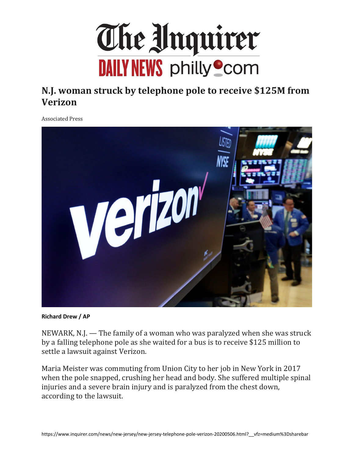

## **N.J. woman struck by telephone pole to receive \$125M from Verizon**

Associated Press



**Richard Drew / AP**

NEWARK, N.J. — The family of a woman who was paralyzed when she was struck by a falling telephone pole as she waited for a bus is to receive \$125 million to settle a lawsuit against Verizon.

Maria Meister was commuting from Union City to her job in New York in 2017 when the pole snapped, crushing her head and body. She suffered multiple spinal injuries and a severe brain injury and is paralyzed from the chest down, according to the lawsuit.